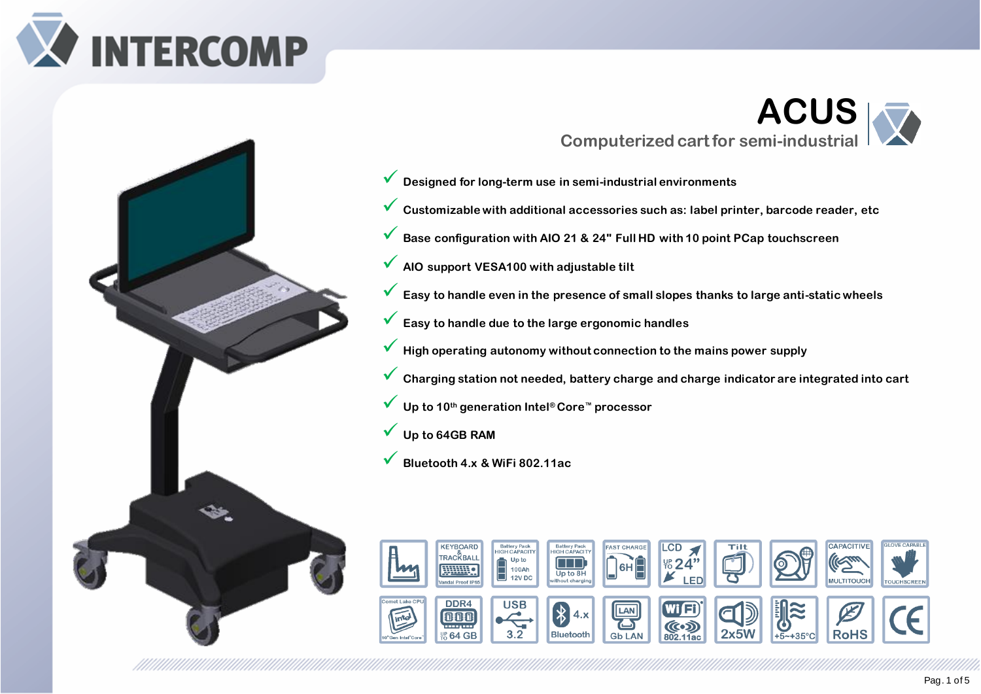



# **ACUS Computerized cart for semi-industrial**

- ✓ **Designed for long-term use in semi-industrial environments**
- ✓ **Customizable with additional accessories such as: label printer, barcode reader, etc**
- ✓ **Base configuration with AIO 21 & 24" Full HD with 10 point PCap touchscreen**
- ✓ **AIO support VESA100 with adjustable tilt**
- ✓ **Easy to handle even in the presence of small slopes thanks to large anti-static wheels**
- ✓ **Easy to handle due to the large ergonomic handles**
- ✓ **High operating autonomy without connection to the mains power supply**
- ✓ **Charging station not needed, battery charge and charge indicator are integrated into cart**
- ✓ **Up to <sup>10</sup>th generation Intel® Core™ processor**
- ✓ **Up to 64GB RAM**
- ✓ **Bluetooth 4.x & WiFi 802.11ac**

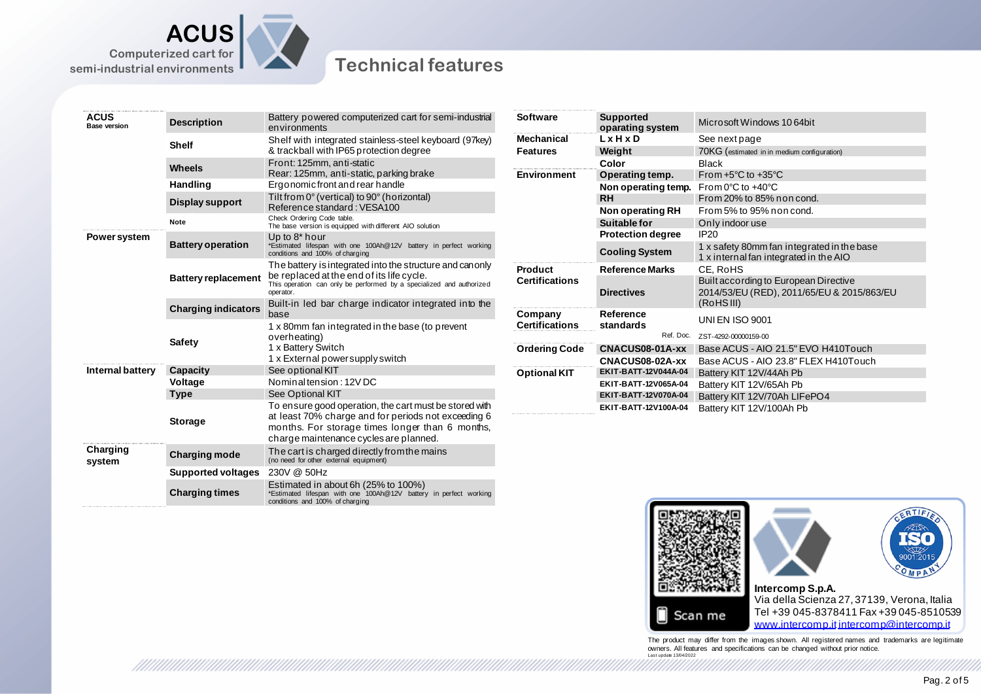



conditions and 100% of charging

a ka ka katika wa mwaka wa kutoka mwaka wa mashi wa mashi wa mashi wa mashi wa mashi wa mashi wa mashi wa mash

#### **Technical features**

| <b>ACUS</b><br><b>Base version</b> | <b>Description</b>         | Battery powered computerized cart for semi-industrial<br>environments                                                                                                                                      | <b>Software</b>       | <b>Supported</b><br>oparating system              | Microsoft Windows 10 64bit                                                           |
|------------------------------------|----------------------------|------------------------------------------------------------------------------------------------------------------------------------------------------------------------------------------------------------|-----------------------|---------------------------------------------------|--------------------------------------------------------------------------------------|
|                                    | <b>Shelf</b>               | Shelf with integrated stainless-steel keyboard (97key)                                                                                                                                                     | <b>Mechanical</b>     | $L \times H \times D$                             | See next page                                                                        |
|                                    |                            | & trackball with IP65 protection degree                                                                                                                                                                    | <b>Features</b>       | Weight                                            | 70KG (estimated in in medium configuration)                                          |
|                                    | <b>Wheels</b>              | Front: 125mm, anti-static                                                                                                                                                                                  | <b>Environment</b>    | Color                                             | <b>Black</b>                                                                         |
|                                    |                            | Rear: 125mm, anti-static, parking brake                                                                                                                                                                    |                       | Operating temp.                                   | From $+5^{\circ}$ C to $+35^{\circ}$ C                                               |
|                                    | Handling                   | Ergonomic front and rear handle                                                                                                                                                                            |                       | Non operating temp.                               | From 0 $\degree$ C to +40 $\degree$ C                                                |
|                                    | Display support            | Tilt from 0° (vertical) to 90° (horizontal)<br>Reference standard: VESA100                                                                                                                                 |                       | <b>RH</b><br>Non operating RH                     | From 20% to 85% non cond.<br>From 5% to 95% non cond.                                |
|                                    | Note                       | Check Ordering Code table.                                                                                                                                                                                 |                       |                                                   |                                                                                      |
|                                    |                            | The base version is equipped with different AIO solution                                                                                                                                                   |                       | Suitable for                                      | Only indoor use<br><b>IP20</b>                                                       |
| Power system                       | <b>Battery operation</b>   | Up to 8* hour<br>*Estimated lifespan with one 100Ah@12V battery in perfect working<br>conditions and 100% of charging                                                                                      |                       | <b>Protection degree</b><br><b>Cooling System</b> | 1 x safety 80mm fan integrated in the base<br>1 x internal fan integrated in the AIO |
|                                    | <b>Battery replacement</b> | The battery is integrated into the structure and canonly<br>be replaced at the end of its life cycle.<br>This operation can only be performed by a specialized and authorized<br>operator.                 | <b>Product</b>        | <b>Reference Marks</b>                            | CE, RoHS                                                                             |
|                                    |                            |                                                                                                                                                                                                            | <b>Certifications</b> | <b>Directives</b>                                 | Built according to European Directive<br>2014/53/EU (RED), 2011/65/EU & 2015/863/EU  |
|                                    | <b>Charging indicators</b> | Built-in led bar charge indicator integrated into the<br>base                                                                                                                                              |                       |                                                   | (RoHSIII)                                                                            |
|                                    |                            |                                                                                                                                                                                                            | Company               | Reference                                         | <b>UNI EN ISO 9001</b>                                                               |
|                                    | <b>Safety</b>              | 1 x 80mm fan integrated in the base (to prevent<br>overheating)<br>1 x Battery Switch                                                                                                                      | <b>Certifications</b> | standards                                         |                                                                                      |
|                                    |                            |                                                                                                                                                                                                            | <b>Ordering Code</b>  | Ref. Doc.                                         | ZST-4292-00000159-00                                                                 |
|                                    |                            |                                                                                                                                                                                                            |                       | CNACUS08-01A-xx                                   | Base ACUS - AIO 21.5" EVO H410Touch                                                  |
|                                    |                            | 1 x External power supply switch                                                                                                                                                                           |                       | CNACUS08-02A-xx                                   | Base ACUS - AIO 23.8" FLEX H410Touch                                                 |
| Internal battery                   | Capacity                   | See optional KIT                                                                                                                                                                                           | <b>Optional KIT</b>   | EKIT-BATT-12V044A-04                              | Battery KIT 12V/44Ah Pb                                                              |
|                                    | Voltage                    | Nominal tension: 12V DC                                                                                                                                                                                    |                       | EKIT-BATT-12V065A-04                              | Battery KIT 12V/65Ah Pb                                                              |
|                                    | <b>Type</b>                | See Optional KIT                                                                                                                                                                                           |                       | EKIT-BATT-12V070A-04                              | Battery KIT 12V/70Ah LIFePO4                                                         |
|                                    | <b>Storage</b>             | To ensure good operation, the cart must be stored with<br>at least 70% charge and for periods not exceeding 6<br>months. For storage times longer than 6 months,<br>charge maintenance cycles are planned. |                       | EKIT-BATT-12V100A-04                              | Battery KIT 12V/100Ah Pb                                                             |
| Charging<br>system                 | <b>Charging mode</b>       | The cart is charged directly from the mains<br>(no need for other external equipment)                                                                                                                      |                       |                                                   |                                                                                      |
|                                    | <b>Supported voltages</b>  | 230V @ 50Hz                                                                                                                                                                                                |                       |                                                   |                                                                                      |
|                                    | <b>Charging times</b>      | Estimated in about 6h (25% to 100%)<br>*Estimated lifespan with one 100Ah@12V battery in perfect working                                                                                                   |                       |                                                   |                                                                                      |



The product may differ from the images shown. All registered names and trademarks are legitimate<br>owners. All features and specifications can be changed without prior notice.<br>Last update 1304/2022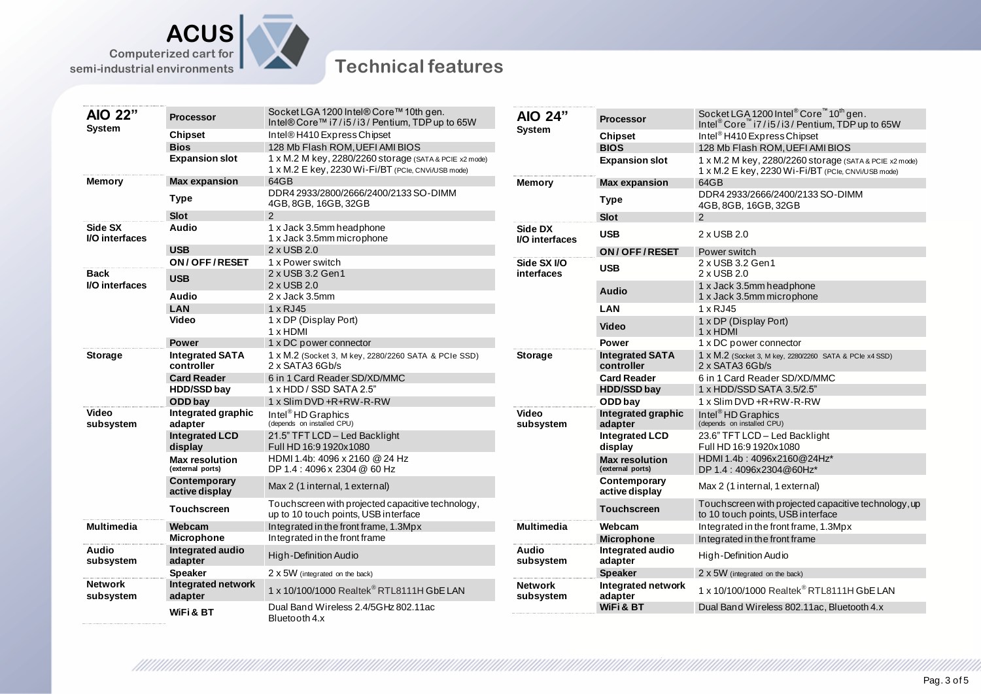



### **Technical features**

| AIO 22"<br>System             |                                           | Socket LGA 1200 Intel® Core™ 10th gen.                                                     |                             |                                           | Socket LGA 1200 Intel <sup>®</sup> Core™10 <sup>th</sup> gen.                              |
|-------------------------------|-------------------------------------------|--------------------------------------------------------------------------------------------|-----------------------------|-------------------------------------------|--------------------------------------------------------------------------------------------|
|                               | <b>Processor</b>                          | Intel® Core™ i7/i5/i3/ Pentium, TDP up to 65W                                              | AIO 24"<br>System           | <b>Processor</b>                          | Intel <sup>®</sup> Core <sup>™</sup> i7/i5/i3/ Pentium, TDP up to 65W                      |
|                               | <b>Chipset</b>                            | Intel®H410 Express Chipset                                                                 |                             | <b>Chipset</b>                            | Intel <sup>®</sup> H410 Express Chipset                                                    |
|                               | <b>Bios</b>                               | 128 Mb Flash ROM, UEFI AMI BIOS                                                            |                             | <b>BIOS</b>                               | 128 Mb Flash ROM, UEFI AMI BIOS                                                            |
|                               | <b>Expansion slot</b>                     | 1 x M.2 M key, 2280/2260 storage (SATA & PCIE x2 mode)                                     |                             | <b>Expansion slot</b>                     | 1 x M.2 M key, 2280/2260 storage (SATA & PCIE x2 mode)                                     |
|                               |                                           | 1 x M.2 E key, 2230 Wi-Fi/BT (PCIe, CNVi/USB mode)                                         |                             |                                           | 1 x M.2 E key, 2230 Wi-Fi/BT (PCIe, CNVi/USB mode)                                         |
| <b>Memory</b>                 | <b>Max expansion</b>                      | 64GB                                                                                       | <b>Memory</b>               | <b>Max expansion</b>                      | 64GB                                                                                       |
|                               | <b>Type</b>                               | DDR4 2933/2800/2666/2400/2133 SO-DIMM<br>4GB, 8GB, 16GB, 32GB                              |                             | <b>Type</b>                               | DDR4 2933/2666/2400/2133 SO-DIMM<br>4GB, 8GB, 16GB, 32GB                                   |
|                               | Slot                                      | 2                                                                                          |                             | Slot                                      | 2                                                                                          |
| Side SX<br>I/O interfaces     | <b>Audio</b>                              | 1 x Jack 3.5mm headphone<br>1 x Jack 3.5mm microphone                                      | Side DX<br>I/O interfaces   | <b>USB</b>                                | 2 x USB 2.0                                                                                |
|                               | <b>USB</b>                                | 2 x USB 2.0                                                                                |                             | ON/OFF/RESET                              | Power switch                                                                               |
|                               | ON/OFF/RESET                              | 1 x Power switch                                                                           | Side SX I/O                 | <b>USB</b>                                | 2 x USB 3.2 Gen1                                                                           |
| <b>Back</b><br>I/O interfaces | <b>USB</b>                                | 2 x USB 3.2 Gen1                                                                           | interfaces                  |                                           | 2 x USB 2.0                                                                                |
|                               | <b>Audio</b>                              | 2 x USB 2.0                                                                                |                             | <b>Audio</b>                              | 1 x Jack 3.5mm headphone                                                                   |
|                               |                                           | 2 x Jack 3.5mm                                                                             |                             |                                           | 1 x Jack 3.5mm microphone                                                                  |
|                               | <b>LAN</b>                                | 1 x RJ45                                                                                   |                             | LAN                                       | 1 x RJ45                                                                                   |
|                               | <b>Video</b>                              | 1 x DP (Display Port)<br>1 x HDMI                                                          |                             | <b>Video</b>                              | 1 x DP (Display Port)<br>$1 \times$ HDMI                                                   |
|                               | <b>Power</b>                              | 1 x DC power connector                                                                     |                             | <b>Power</b>                              | 1 x DC power connector                                                                     |
| <b>Storage</b>                | <b>Integrated SATA</b><br>controller      | 1 x M.2 (Socket 3, M key, 2280/2260 SATA & PCIe SSD)<br>$2 \times$ SATA3 6Gb/s             | <b>Storage</b>              | <b>Integrated SATA</b><br>controller      | 1 x M.2 (Socket 3, M key, 2280/2260 SATA & PCIe x4 SSD)<br>$2 \times$ SATA3 6Gb/s          |
|                               | <b>Card Reader</b>                        | 6 in 1 Card Reader SD/XD/MMC                                                               |                             | <b>Card Reader</b>                        | 6 in 1 Card Reader SD/XD/MMC                                                               |
|                               | <b>HDD/SSD bay</b>                        | 1 x HDD / SSD SATA 2.5"                                                                    |                             | <b>HDD/SSD bay</b>                        | 1 x HDD/SSD SATA 3.5/2.5"                                                                  |
|                               | ODD bay                                   | 1 x Slim DVD +R+RW-R-RW                                                                    |                             | ODD bay                                   | 1 x Slim DVD +R+RW-R-RW                                                                    |
| <b>Video</b><br>subsystem     | Integrated graphic<br>adapter             | Intel <sup>®</sup> HD Graphics<br>(depends on installed CPU)                               | Video<br>subsystem          | Integrated graphic<br>adapter             | Intel <sup>®</sup> HD Graphics<br>(depends on installed CPU)                               |
|                               | <b>Integrated LCD</b><br>display          | 21.5" TFT LCD - Led Backlight<br>Full HD 16:9 1920x1080                                    |                             | <b>Integrated LCD</b><br>display          | 23.6" TFT LCD - Led Backlight<br>Full HD 16:9 1920x 1080                                   |
|                               | <b>Max resolution</b><br>(external ports) | HDMI 1.4b: 4096 x 2160 @ 24 Hz<br>DP 1.4 : 4096 x 2304 @ 60 Hz                             |                             | <b>Max resolution</b><br>(external ports) | HDMI 1.4b: 4096x2160@24Hz*<br>DP 1.4:4096x2304@60Hz*                                       |
|                               | Contemporary<br>active display            | Max 2 (1 internal, 1 external)                                                             |                             | Contemporary<br>active display            | Max 2 (1 internal, 1 external)                                                             |
|                               | <b>Touchscreen</b>                        | Touch screen with projected capacitive technology,<br>up to 10 touch points, USB interface |                             | <b>Touchscreen</b>                        | Touch screen with projected capacitive technology, up<br>to 10 touch points, USB interface |
| <b>Multimedia</b>             | Webcam                                    | Integrated in the front frame, 1.3Mpx                                                      | <b>Multimedia</b>           | Webcam                                    | Integrated in the front frame, 1.3Mpx                                                      |
|                               | <b>Microphone</b>                         | Integrated in the front frame                                                              |                             | <b>Microphone</b>                         | Integrated in the front frame                                                              |
| Audio<br>subsystem            | Integrated audio<br>adapter               | High-Definition Audio                                                                      | Audio<br>subsystem          | Integrated audio<br>adapter               | High-Definition Audio                                                                      |
|                               | <b>Speaker</b>                            | 2 x 5W (integrated on the back)                                                            |                             | <b>Speaker</b>                            | $2 \times 5W$ (integrated on the back)                                                     |
| <b>Network</b><br>subsystem   | Integrated network<br>adapter             | 1 x 10/100/1000 Realtek® RTL8111H GbE LAN                                                  | <b>Network</b><br>subsystem | Integrated network<br>adapter             | 1 x 10/100/1000 Realtek <sup>®</sup> RTL8111H GbE LAN                                      |
|                               | WiFi & BT                                 | Dual Band Wireless 2.4/5GHz 802.11ac<br>Bluetooth 4.x                                      |                             | WiFi & BT                                 | Dual Band Wireless 802.11ac, Bluetooth 4.x                                                 |

99999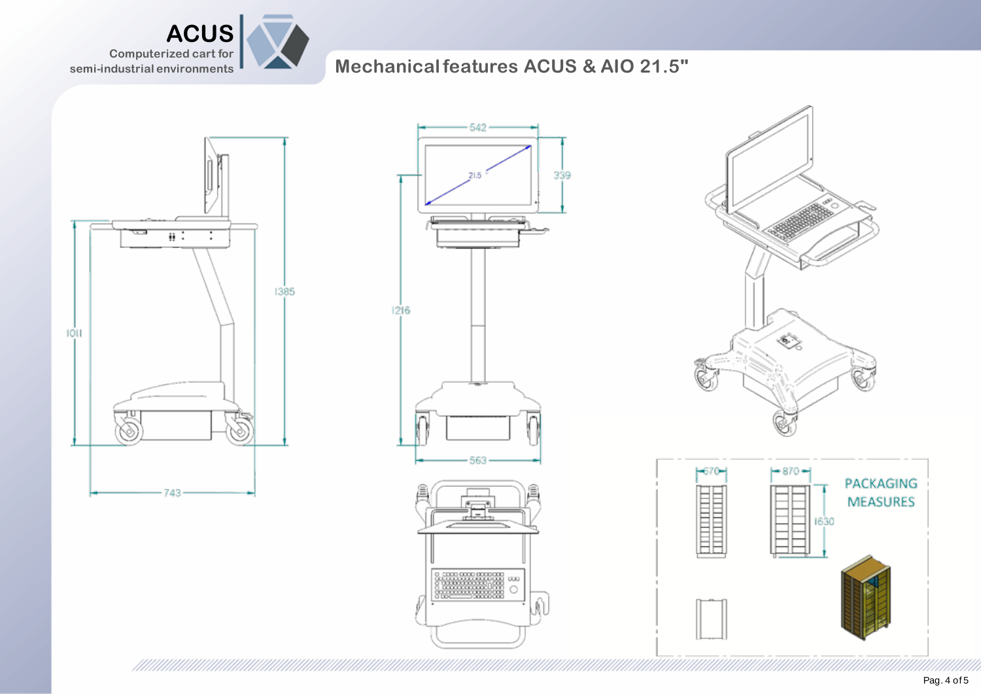

## **Mechanical features ACUS & AIO 21.5"**









 $\overline{\phantom{a}}$